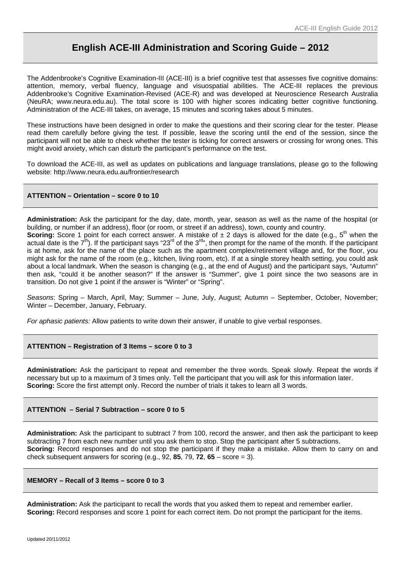# **English ACE-III Administration and Scoring Guide – 2012**

The Addenbrooke's Cognitive Examination-III (ACE-III) is a brief cognitive test that assesses five cognitive domains: attention, memory, verbal fluency, language and visuospatial abilities. The ACE-III replaces the previous Addenbrooke's Cognitive Examination-Revised (ACE-R) and was developed at Neuroscience Research Australia (NeuRA; www.neura.edu.au). The total score is 100 with higher scores indicating better cognitive functioning. Administration of the ACE-III takes, on average, 15 minutes and scoring takes about 5 minutes.

These instructions have been designed in order to make the questions and their scoring clear for the tester. Please read them carefully before giving the test. If possible, leave the scoring until the end of the session, since the participant will not be able to check whether the tester is ticking for correct answers or crossing for wrong ones. This might avoid anxiety, which can disturb the participant's performance on the test.

To download the ACE-III, as well as updates on publications and language translations, please go to the following website: http://www.neura.edu.au/frontier/research

## **ATTENTION – Orientation – score 0 to 10**

**Administration:** Ask the participant for the day, date, month, year, season as well as the name of the hospital (or building, or number if an address), floor (or room, or street if an address), town, county and country.

**Scoring:** Score 1 point for each correct answer. A mistake of  $\pm$  2 days is allowed for the date (e.g.,  $5<sup>th</sup>$  when the actual date is the  $7<sup>th</sup>$ ). If the participant says "23<sup>rd</sup> of the 3<sup>rd</sup>", then prompt for the name of the month. If the participant is at home, ask for the name of the place such as the apartment complex/retirement village and, for the floor, you might ask for the name of the room (e.g., kitchen, living room, etc). If at a single storey health setting, you could ask about a local landmark. When the season is changing (e.g., at the end of August) and the participant says, "Autumn" then ask, "could it be another season?" If the answer is "Summer", give 1 point since the two seasons are in transition. Do not give 1 point if the answer is "Winter" or "Spring".

*Seasons*: Spring – March, April, May; Summer – June, July, August; Autumn – September, October, November; Winter – December, January, February.

*For aphasic patients:* Allow patients to write down their answer, if unable to give verbal responses.

#### **ATTENTION – Registration of 3 Items – score 0 to 3**

**Administration:** Ask the participant to repeat and remember the three words. Speak slowly. Repeat the words if necessary but up to a maximum of 3 times only. Tell the participant that you will ask for this information later. **Scoring:** Score the first attempt only. Record the number of trials it takes to learn all 3 words.

## **ATTENTION – Serial 7 Subtraction – score 0 to 5**

**Administration:** Ask the participant to subtract 7 from 100, record the answer, and then ask the participant to keep subtracting 7 from each new number until you ask them to stop. Stop the participant after 5 subtractions. **Scoring:** Record responses and do not stop the participant if they make a mistake. Allow them to carry on and check subsequent answers for scoring (e.g., 92, **85**, 79, **72**, **65** – score = 3).

#### **MEMORY – Recall of 3 Items – score 0 to 3**

**Administration:** Ask the participant to recall the words that you asked them to repeat and remember earlier. **Scoring:** Record responses and score 1 point for each correct item. Do not prompt the participant for the items.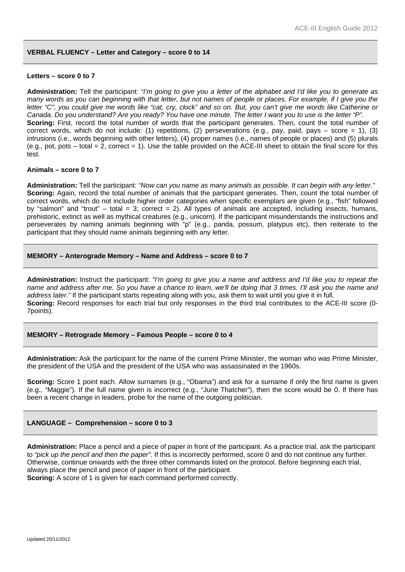#### **VERBAL FLUENCY – Letter and Category – score 0 to 14**

#### **Letters – score 0 to 7**

**Administration:** Tell the participant: *"I'm going to give you a letter of the alphabet and I'd like you to generate as many words as you can beginning with that letter, but not names of people or places. For example, if I give you the letter "C", you could give me words like "cat, cry, clock" and so on. But, you can't give me words like Catherine or Canada. Do you understand? Are you ready? You have one minute. The letter I want you to use is the letter "P".*  **Scoring:** First, record the total number of words that the participant generates. Then, count the total number of correct words, which do not include: (1) repetitions, (2) perseverations (e.g., pay, paid, pays – score = 1), (3) intrusions (i.e., words beginning with other letters), (4) proper names (i.e., names of people or places) and (5) plurals  $(e.g., pot, pots - total = 2, correct = 1)$ . Use the table provided on the ACE-III sheet to obtain the final score for this test.

#### **Animals – score 0 to 7**

**Administration:** Tell the participant: *"Now can you name as many animals as possible. It can begin with any letter."* **Scoring:** Again, record the total number of animals that the participant generates. Then, count the total number of correct words, which do not include higher order categories when specific exemplars are given (e.g., "fish" followed by "salmon" and "trout" – total = 3; correct = 2). All types of animals are accepted, including insects, humans, prehistoric, extinct as well as mythical creatures (e.g., unicorn). If the participant misunderstands the instructions and perseverates by naming animals beginning with "p" (e.g., panda, possum, platypus etc), then reiterate to the participant that they should name animals beginning with any letter.

#### **MEMORY – Anterograde Memory – Name and Address – score 0 to 7**

**Administration:** Instruct the participant: *"I'm going to give you a name and address and I'd like you to repeat the name and address after me. So you have a chance to learn, we'll be doing that 3 times. I'll ask you the name and address later."* If the participant starts repeating along with you, ask them to wait until you give it in full. **Scoring:** Record responses for each trial but only responses in the third trial contributes to the ACE-III score (0- 7points).

#### **MEMORY – Retrograde Memory – Famous People – score 0 to 4**

**Administration:** Ask the participant for the name of the current Prime Minister, the woman who was Prime Minister, the president of the USA and the president of the USA who was assassinated in the 1960s.

**Scoring:** Score 1 point each. Allow surnames (e.g., "Obama") and ask for a surname if only the first name is given (e.g., "Maggie"). If the full name given is incorrect (e.g., "June Thatcher"), then the score would be 0. If there has been a recent change in leaders, probe for the name of the outgoing politician.

#### **LANGUAGE – Comprehension – score 0 to 3**

**Administration:** Place a pencil and a piece of paper in front of the participant. As a practice trial, ask the participant to *"pick up the pencil and then the paper"*. If this is incorrectly performed, score 0 and do not continue any further. Otherwise, continue onwards with the three other commands listed on the protocol. Before beginning each trial, always place the pencil and piece of paper in front of the participant. **Scoring:** A score of 1 is given for each command performed correctly.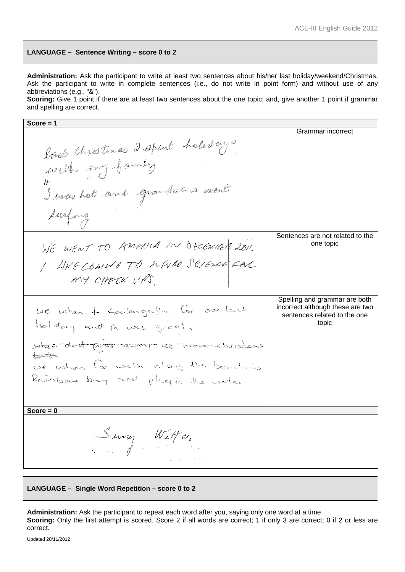## **LANGUAGE – Sentence Writing – score 0 to 2**

**Administration:** Ask the participant to write at least two sentences about his/her last holiday/weekend/Christmas. Ask the participant to write in complete sentences (i.e., do not write in point form) and without use of any abbreviations (e.g., "&").

**Scoring:** Give 1 point if there are at least two sentences about the one topic; and, give another 1 point if grammar and spelling are correct.

| Score $= 1$                                                        |                                       |
|--------------------------------------------------------------------|---------------------------------------|
|                                                                    | Grammar incorrect                     |
|                                                                    |                                       |
|                                                                    |                                       |
| last Christinas 2 spent holidays                                   |                                       |
|                                                                    |                                       |
| I was hot and grandsons went                                       |                                       |
|                                                                    |                                       |
| surfing                                                            |                                       |
|                                                                    | Sentences are not related to the      |
| WE WENT TO AMERICA IN DECEMBER 2011.                               | one topic                             |
| / AKECOMMETO WWW SCIENCE FOR                                       |                                       |
| MY CHECK UPS.                                                      |                                       |
|                                                                    |                                       |
|                                                                    | Spelling and grammar are both         |
|                                                                    | incorrect although these are two      |
| we when to Coolangatta. Cor our last<br>holidary and in was great. | sentences related to the one<br>topic |
| when dod poss asor we move classicans                              |                                       |
| $\pm$ $\rightarrow$                                                |                                       |
| we when for welk along the beach to                                |                                       |
| Rainbow bay and plagin the water.                                  |                                       |
|                                                                    |                                       |
|                                                                    |                                       |
| Score $= 0$                                                        |                                       |
| Survy Wetter                                                       |                                       |

#### **LANGUAGE – Single Word Repetition – score 0 to 2**

**Administration:** Ask the participant to repeat each word after you, saying only one word at a time. **Scoring:** Only the first attempt is scored. Score 2 if all words are correct; 1 if only 3 are correct; 0 if 2 or less are correct.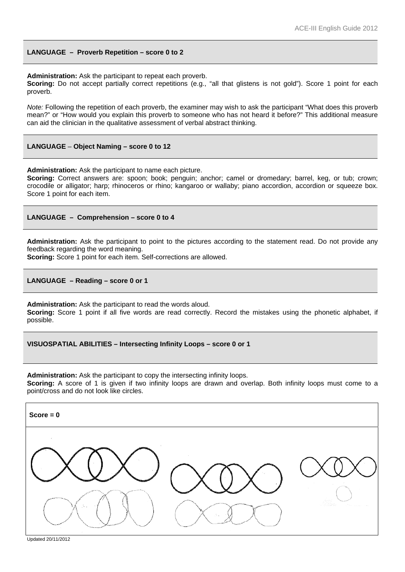#### **LANGUAGE – Proverb Repetition – score 0 to 2**

**Administration:** Ask the participant to repeat each proverb.

**Scoring:** Do not accept partially correct repetitions (e.g., "all that glistens is not gold"). Score 1 point for each proverb.

*Note:* Following the repetition of each proverb, the examiner may wish to ask the participant "What does this proverb mean?" or "How would you explain this proverb to someone who has not heard it before?" This additional measure can aid the clinician in the qualitative assessment of verbal abstract thinking.

#### **LANGUAGE** – **Object Naming – score 0 to 12**

**Administration:** Ask the participant to name each picture.

**Scoring:** Correct answers are: spoon; book; penguin; anchor; camel or dromedary; barrel, keg, or tub; crown; crocodile or alligator; harp; rhinoceros or rhino; kangaroo or wallaby; piano accordion, accordion or squeeze box. Score 1 point for each item.

#### **LANGUAGE – Comprehension – score 0 to 4**

**Administration:** Ask the participant to point to the pictures according to the statement read. Do not provide any feedback regarding the word meaning.

**Scoring:** Score 1 point for each item. Self-corrections are allowed.

#### **LANGUAGE – Reading – score 0 or 1**

**Administration:** Ask the participant to read the words aloud. **Scoring:** Score 1 point if all five words are read correctly. Record the mistakes using the phonetic alphabet, if possible.

#### **VISUOSPATIAL ABILITIES – Intersecting Infinity Loops – score 0 or 1**

**Administration:** Ask the participant to copy the intersecting infinity loops.

**Scoring:** A score of 1 is given if two infinity loops are drawn and overlap. Both infinity loops must come to a point/cross and do not look like circles.

| $Score = 0$                                                                              |  |
|------------------------------------------------------------------------------------------|--|
| $\sim$<br>$\sim$<br><b>CONTRACTOR</b><br>D.<br>$\mathcal{C}_{\epsilon,\ell}$<br>$\cdots$ |  |

Updated 20/11/2012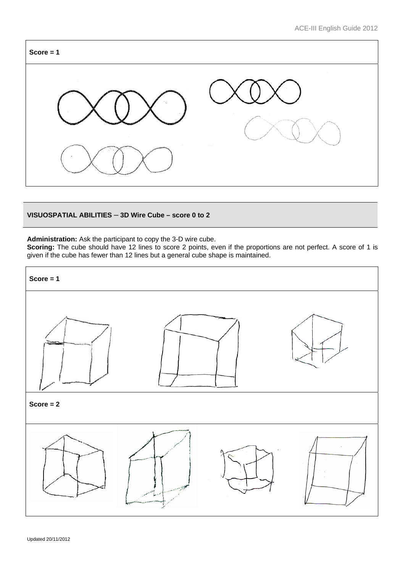

## **VISUOSPATIAL ABILITIES** – **3D Wire Cube – score 0 to 2**

**Administration:** Ask the participant to copy the 3-D wire cube.

Scoring: The cube should have 12 lines to score 2 points, even if the proportions are not perfect. A score of 1 is given if the cube has fewer than 12 lines but a general cube shape is maintained.

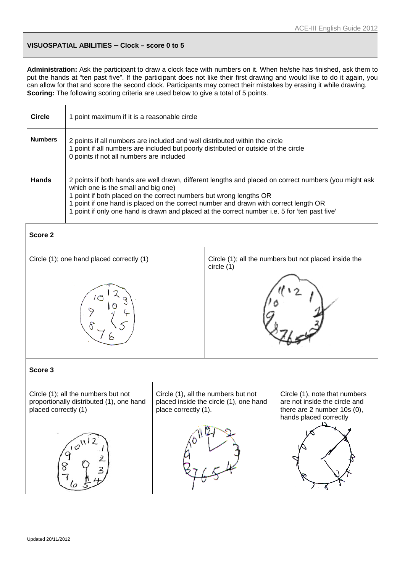## **VISUOSPATIAL ABILITIES** – **Clock – score 0 to 5**

**Administration:** Ask the participant to draw a clock face with numbers on it. When he/she has finished, ask them to put the hands at "ten past five". If the participant does not like their first drawing and would like to do it again, you can allow for that and score the second clock. Participants may correct their mistakes by erasing it while drawing. **Scoring:** The following scoring criteria are used below to give a total of 5 points.

| <b>Circle</b>  | 1 point maximum if it is a reasonable circle                                                                                                                                                                                                                                                                                                                                                                |
|----------------|-------------------------------------------------------------------------------------------------------------------------------------------------------------------------------------------------------------------------------------------------------------------------------------------------------------------------------------------------------------------------------------------------------------|
| <b>Numbers</b> | 2 points if all numbers are included and well distributed within the circle<br>1 point if all numbers are included but poorly distributed or outside of the circle<br>0 points if not all numbers are included                                                                                                                                                                                              |
| <b>Hands</b>   | 2 points if both hands are well drawn, different lengths and placed on correct numbers (you might ask<br>which one is the small and big one)<br>1 point if both placed on the correct numbers but wrong lengths OR<br>1 point if one hand is placed on the correct number and drawn with correct length OR<br>1 point if only one hand is drawn and placed at the correct number i.e. 5 for 'ten past five' |

| Score 2                                                                                                 |                      |                                                                               |                                                                                                                         |
|---------------------------------------------------------------------------------------------------------|----------------------|-------------------------------------------------------------------------------|-------------------------------------------------------------------------------------------------------------------------|
| Circle (1); one hand placed correctly (1)                                                               |                      | circle (1)                                                                    | Circle (1); all the numbers but not placed inside the                                                                   |
|                                                                                                         |                      |                                                                               |                                                                                                                         |
| Score 3                                                                                                 |                      |                                                                               |                                                                                                                         |
| Circle (1); all the numbers but not<br>proportionally distributed (1), one hand<br>placed correctly (1) | place correctly (1). | Circle (1), all the numbers but not<br>placed inside the circle (1), one hand | Circle (1), note that numbers<br>are not inside the circle and<br>there are 2 number 10s (0),<br>hands placed correctly |
|                                                                                                         |                      |                                                                               |                                                                                                                         |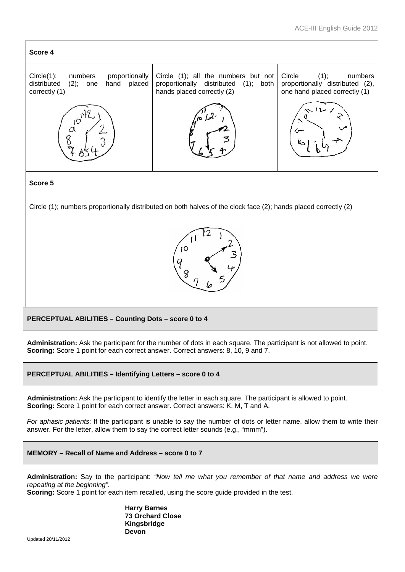

## **PERCEPTUAL ABILITIES – Counting Dots – score 0 to 4**

**Administration:** Ask the participant for the number of dots in each square. The participant is not allowed to point. **Scoring:** Score 1 point for each correct answer. Correct answers: 8, 10, 9 and 7.

**PERCEPTUAL ABILITIES – Identifying Letters – score 0 to 4**

**Administration:** Ask the participant to identify the letter in each square. The participant is allowed to point. **Scoring:** Score 1 point for each correct answer. Correct answers: K, M, T and A.

*For aphasic patients*: If the participant is unable to say the number of dots or letter name, allow them to write their answer. For the letter, allow them to say the correct letter sounds (e.g., "mmm").



**Administration:** Say to the participant: *"Now tell me what you remember of that name and address we were repeating at the beginning"*.

**Scoring:** Score 1 point for each item recalled, using the score guide provided in the test.

**Harry Barnes 73 Orchard Close Kingsbridge Devon**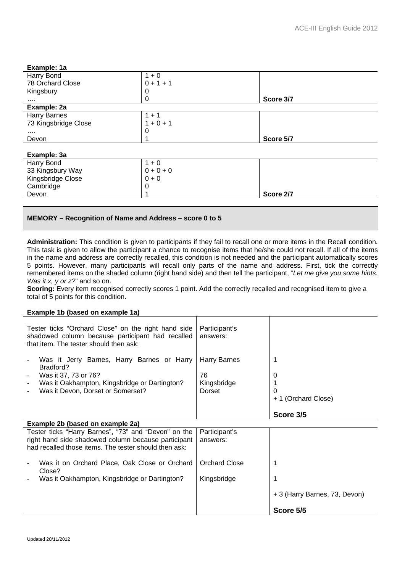| Example: 1a          |             |           |
|----------------------|-------------|-----------|
| Harry Bond           | $1 + 0$     |           |
| 78 Orchard Close     | $0 + 1 + 1$ |           |
| Kingsbury            | 0           |           |
|                      | 0           | Score 3/7 |
| Example: 2a          |             |           |
| <b>Harry Barnes</b>  | $1 + 1$     |           |
| 73 Kingsbridge Close | $1 + 0 + 1$ |           |
| $\cdots$             | 0           |           |
| Devon                |             | Score 5/7 |
|                      |             |           |
| Example: 3a          |             |           |
| Harry Bond           | $1 + 0$     |           |
| 33 Kingsbury Way     | $0 + 0 + 0$ |           |
| Kingsbridge Close    | $0 + 0$     |           |
| Cambridge            | 0           |           |
| Devon                |             | Score 2/7 |
|                      |             |           |

## **MEMORY – Recognition of Name and Address – score 0 to 5**

**Administration:** This condition is given to participants if they fail to recall one or more items in the Recall condition. This task is given to allow the participant a chance to recognise items that he/she could not recall. If all of the items in the name and address are correctly recalled, this condition is not needed and the participant automatically scores 5 points. However, many participants will recall only parts of the name and address. First, tick the correctly remembered items on the shaded column (right hand side) and then tell the participant, "*Let me give you some hints. Was it x, y or z?*" and so on.

**Scoring:** Every item recognised correctly scores 1 point. Add the correctly recalled and recognised item to give a total of 5 points for this condition.

#### **Example 1b (based on example 1a)**

| Tester ticks "Orchard Close" on the right hand side<br>shadowed column because participant had recalled<br>that item. The tester should then ask:                                                                           | Participant's<br>answers:                          |                               |
|-----------------------------------------------------------------------------------------------------------------------------------------------------------------------------------------------------------------------------|----------------------------------------------------|-------------------------------|
| Was it Jerry Barnes, Harry Barnes or Harry<br>$\overline{a}$<br>Bradford?<br>Was it 37, 73 or 76?<br>$\overline{a}$<br>Was it Oakhampton, Kingsbridge or Dartington?<br>$\overline{a}$<br>Was it Devon, Dorset or Somerset? | <b>Harry Barnes</b><br>76<br>Kingsbridge<br>Dorset | 0<br>+ 1 (Orchard Close)      |
|                                                                                                                                                                                                                             |                                                    | Score 3/5                     |
| Example 2b (based on example 2a)                                                                                                                                                                                            |                                                    |                               |
| Tester ticks "Harry Barnes", "73" and "Devon" on the<br>right hand side shadowed column because participant<br>had recalled those items. The tester should then ask:                                                        | Participant's<br>answers:                          |                               |
| Was it on Orchard Place, Oak Close or Orchard<br>Close?                                                                                                                                                                     | <b>Orchard Close</b>                               |                               |
| Was it Oakhampton, Kingsbridge or Dartington?                                                                                                                                                                               | Kingsbridge                                        |                               |
|                                                                                                                                                                                                                             |                                                    | + 3 (Harry Barnes, 73, Devon) |
|                                                                                                                                                                                                                             |                                                    | Score 5/5                     |